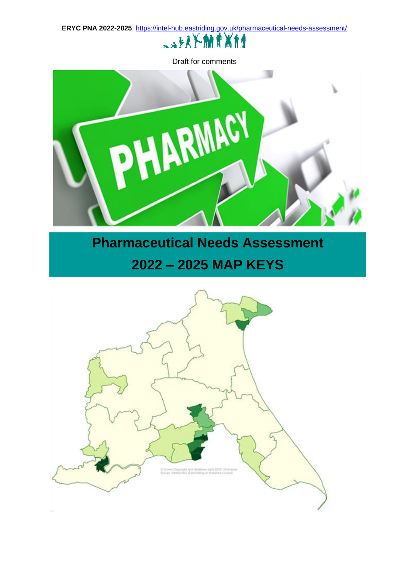**ERYC PNA 2022-2025**:<https://intel-hub.eastriding.gov.uk/pharmaceutical-needs-assessment/>



Draft for comments



## **Pharmaceutical Needs Assessment 2022 – 2025 MAP KEYS**

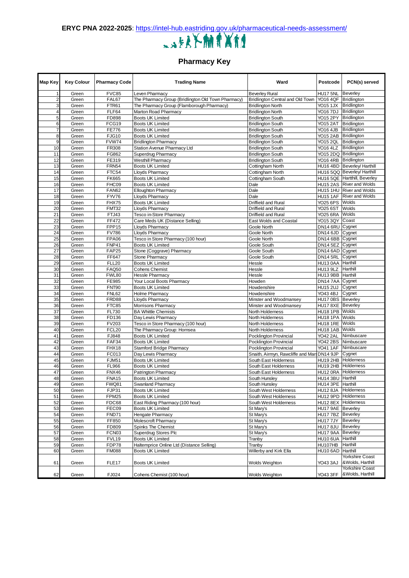

**Pharmacy Key**

| Map Key                 | <b>Key Colour</b> | <b>Pharmacy Code</b>  | <b>Trading Name</b>                                    | Ward                                                 | Postcode                               | PCN(s) served                              |
|-------------------------|-------------------|-----------------------|--------------------------------------------------------|------------------------------------------------------|----------------------------------------|--------------------------------------------|
| 1                       | Green             | <b>FVC85</b>          | Leven Pharmacy                                         | <b>Beverley Rural</b>                                | <b>HU17 5NL</b>                        | Beverley                                   |
| $\overline{\mathbf{c}}$ | Green             | FAL67                 | The Pharmacy Group (Bridlington Old Town Pharmacy)     | Bridlington Central and Old Town                     | YO16 4QF Bridlington                   |                                            |
| 3                       | Green             | FTR61                 | The Pharmacy Group (Flamborough Pharmacy)              | <b>Bridlington North</b>                             | YO15 1JX Bridlington                   |                                            |
| 4                       | Green             | FLF64                 | Marton Road Pharmacy                                   | <b>Bridlington North</b>                             | YO16 7DJ Bridlington                   |                                            |
| 5                       | Green             | FD898                 | <b>Boots UK Limited</b>                                | <b>Bridlington South</b>                             | YO15 2PY Bridlington                   |                                            |
| 6                       | Green             | FCG19                 | <b>Boots UK Limited</b>                                | <b>Bridlington South</b>                             | YO15 2AT Bridlington                   |                                            |
| $\overline{7}$          | Green             | <b>FE776</b>          | <b>Boots UK Limited</b>                                | <b>Bridlington South</b>                             | YO16 4JB Bridlington                   |                                            |
| 8<br>9                  | Green<br>Green    | <b>FJG10</b><br>FVW74 | <b>Boots UK Limited</b><br><b>Bridlington Pharmacy</b> | <b>Bridlington South</b>                             | YO15 2AB Bridlington<br>YO15 2QL       | Bridlington                                |
| 10                      | Green             | FR308                 | Station Avenue Pharmacy Ltd                            | <b>Bridlington South</b>                             | YO16 4LZ                               | <b>Bridlington</b>                         |
| 11                      | Green             | FG862                 | <b>Superdrug Pharmacy</b>                              | <b>Bridlington South</b><br><b>Bridlington South</b> | YO15 2DQ Bridlington                   |                                            |
| 12                      | Green             | FE319                 | <b>Westhill Pharmacy</b>                               | <b>Bridlington South</b>                             | YO16 4RB Bridlington                   |                                            |
| 13                      | Green             | <b>FRN54</b>          | <b>Boots UK Limited</b>                                | Cottingham North                                     |                                        | HU16 4BD Beverley/ Harthill                |
| 14                      | Green             | FTC54                 | Lloyds Pharmacy                                        | Cottingham North                                     |                                        | HU16 5QQ Beverley/ Harthill                |
| 15                      | Green             | <b>FK665</b>          | <b>Boots UK Limited</b>                                | Cottingham South                                     |                                        | HU16 5QE Hartthill, Beverley               |
| 16                      | Green             | FHC09                 | Boots UK Limited                                       | Dale                                                 |                                        | HU15 2AS River and Wolds                   |
| 17                      | Green             | <b>FAN62</b>          | <b>Elloughton Pharmacy</b>                             | Dale                                                 |                                        | HU15 1HU River and Wolds                   |
| 18                      | Green             | <b>FYV76</b>          | Lloyds Pharmacy                                        | Dale                                                 |                                        | HU15 1AF River and Wolds                   |
| 19                      | Green             | FHX75                 | Boots UK Limited                                       | Driffield and Rural                                  | YO25 6PS Wolds                         |                                            |
| 20                      | Green             | FMT32                 | <b>Lloyds Pharmacy</b>                                 | Driffield and Rural                                  | YO25 6ST                               | Wolds                                      |
| 21                      | Green             | FTJ43                 | Tesco in-Store Pharmacy                                | <b>Driffield and Rural</b>                           | YO25 6RA                               | Wolds                                      |
| 22                      | Green             | FF472                 | Care Meds UK (Distance Selling)                        | East Wolds and Coastal                               | YO15 3QY                               | Coast                                      |
| 23                      | Green             | FPP15                 | <b>Lloyds Pharmacy</b>                                 | Goole North                                          | DN14 6RU Cygnet                        |                                            |
| 24                      | Green             | <b>FV786</b>          | Lloyds Pharmacy                                        | Goole North                                          | <b>DN14 6JD</b>                        | Cygnet                                     |
| 25                      | Green             | FPA06                 | Tesco in Store Pharmacy (100 hour)                     | Goole North                                          | DN14 6BB Cygnet                        |                                            |
| 26                      | Green             | FNP41                 | <b>Boots UK Limited</b>                                | Goole South                                          | <b>DN14 5EZ</b>                        | Cygnet                                     |
| 27                      | Green             | <b>FAP25</b>          | Stone (Coggrave) Pharmacy                              | Goole South                                          | DN14 6AD Cygnet                        |                                            |
| 28                      | Green             | FF647                 | Stone Pharmacy                                         | Goole South                                          | <b>DN14 5RL</b>                        | Cygnet                                     |
| 29                      | Green             | <b>FLL20</b>          | <b>Boots UK Limited</b>                                | Hessle                                               | HU13 0AA Harthill                      |                                            |
| 30                      | Green             | <b>FAQ50</b>          | <b>Cohens Chemist</b>                                  | Hessle                                               | HU13 9LZ Harthill                      |                                            |
| 31                      | Green             | FWL80                 | <b>Hessle Pharmacy</b>                                 | Hessle                                               | HU13 9BB Harthill                      |                                            |
| 32<br>33                | Green<br>Green    | FE985<br><b>FNT90</b> | Your Local Boots Pharmacy<br><b>Boots UK Limited</b>   | Howden<br>Howdenshire                                | DN14 7AA Cygnet<br><b>HU15 2UJ</b>     | Cygnet                                     |
| 34                      | Green             | <b>FNL62</b>          | <b>Holme Pharmacy</b>                                  | Howdenshire                                          | YO43 4BJ                               | Cygnet                                     |
| 35                      | Green             | FRD88                 | Lloyds Pharmacy                                        | Minster and Woodmansey                               | HU17 0BS Beverley                      |                                            |
| 36                      | Green             | FTC85                 | Morrisons Pharmacy                                     | Minster and Woodmansey                               | HU17 8XE Beverley                      |                                            |
| 37                      | Green             | FL730                 | <b>BA Whittle Chemists</b>                             | North Holderness                                     | HU18 1PB Wolds                         |                                            |
| 38                      | Green             | FD136                 | Day Lewis Pharmacy                                     | North Holderness                                     | HU18 1PA                               | Wolds                                      |
| 39                      | Green             | <b>FV203</b>          | Tesco in Store Pharmacy (100 hour)                     | North Holderness                                     | <b>HU18 1RE</b>                        | Wolds                                      |
| 40                      | Green             | FCL20                 | The Pharmacy Group: Hornsea                            | North Holderness                                     | HU18 1AB Wolds                         |                                            |
| 41                      | Green             | FJ848                 | <b>Boots UK Limited</b>                                | Pocklington Provincial                               | YO42 2AL                               | Nimbuscare                                 |
| 42                      | Green             | FAF34                 | <b>Boots UK Limited</b>                                | Pocklington Provincial                               |                                        | YO42 2BS Nimbuscare                        |
| 43                      | Green             | FHX18                 | <b>Stamford Bridge Pharmacy</b>                        | Pocklington Provincial                               | YO41 1AF                               | Nimbuscare                                 |
| 44                      | Green             | FC013                 | Day Lewis Pharmacy                                     | Snaith, Airmyn, Rawcliffe and Mars DN14 9JP          |                                        | Cygnet                                     |
| 45                      | Green             | <b>FJM51</b>          | Boots UK Limited                                       | South East Holderness                                | HU19 2HB                               | <b>Holderness</b>                          |
| 46                      | Green             | FL966                 | <b>Boots UK Limited</b>                                | South East Holderness                                | HU19 2HB                               | Holderness                                 |
| 47                      | Green             | <b>FNX46</b>          | Patrington Pharmacy                                    | South East Holderness                                | HU12 0RA                               | Holderness                                 |
| 48                      | Green             | <b>FNA15</b>          | <b>Boots UK Limited</b>                                | South Hunsley                                        | HU14 3BU Harthill                      |                                            |
| 49                      | Green             | FWQ81                 | Swanland Pharmacy                                      | South Hunsley                                        | HU14 3PE Harthill                      |                                            |
| 50                      | Green             | FJP31                 | Boots UK Limited                                       | South West Holderness                                |                                        | HU12 8JA Holderness                        |
| 51                      | Green             | FPM25                 | Boots UK Limited                                       | South West Holderness                                |                                        | HU12 9PD Holderness                        |
| 52                      | Green             | FDC68                 | East Riding Pharmacy (100 hour)                        | South West Holderness                                |                                        | HU12 8EX Holderness                        |
| 53<br>54                | Green             | FEC09                 | <b>Boots UK Limited</b>                                | St Mary's<br>St Mary's                               | HU17 9AE Beverley<br>HU17 7BZ Beverley |                                            |
| 55                      | Green<br>Green    | FND71<br>FF850        | <b>Hengate Pharmacy</b><br>Molescroft Pharmacy         | St Mary's                                            | HU177JY                                | Beverley                                   |
| 56                      | Green             | FD809                 | Spinks The Chemist                                     | St Mary's                                            | <b>HU17 8JU</b>                        | Beverley                                   |
| 57                      | Green             | FCN03                 | Superdrug Stores Plc                                   | St Mary's                                            | HU17 9AA Beverley                      |                                            |
| 58                      | Green             | FVL19                 | <b>Boots UK Limited</b>                                | Tranby                                               | HU10 6UA Harthill                      |                                            |
| 59                      | Green             | FDP78                 | Haltemprice Online Ltd (Distance Selling)              | Tranby                                               | HU107HB                                | Harthill                                   |
| 60                      | Green             | <b>FM088</b>          | <b>Boots UK Limited</b>                                | Willerby and Kirk Ella                               | HU10 6AD                               | Harthill                                   |
| 61                      | Green             | FLE <sub>17</sub>     | Boots UK Limited                                       | Wolds Weighton                                       | YO43 3AJ                               | <b>Yorkshire Coast</b><br>&Wolds, Harthill |
| 62                      | Green             | FJ024                 | Cohens Chemist (100 hour)                              | Wolds Weighton                                       | YO43 3FF                               | <b>Yorkshire Coast</b><br>&Wolds, Harthill |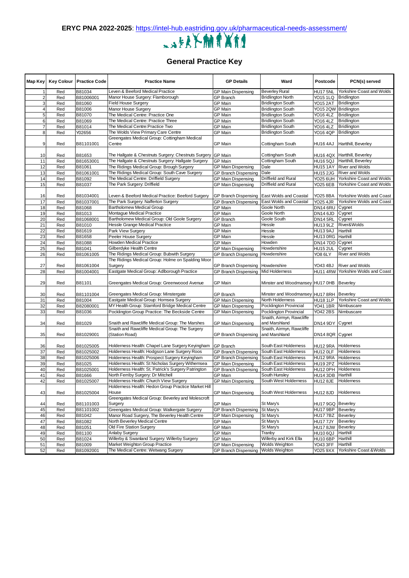

## **General Practice Key**

| Map Key  |     | Key Colour   Practice Code | <b>Practice Name</b>                                                                               | <b>GP Details</b>                  | Ward                                     | Postcode             | PCN(s) served                      |
|----------|-----|----------------------------|----------------------------------------------------------------------------------------------------|------------------------------------|------------------------------------------|----------------------|------------------------------------|
|          | Red | B81034                     | Leven & Beeford Medical Practice                                                                   | <b>GP Main Dispensing</b>          | <b>Beverley Rural</b>                    | HU17 5NL             | Yorkshire Coast and Wolds          |
|          | Red | B81006001                  | Manor House Surgery: Flamborough                                                                   | <b>GP Branch</b>                   | <b>Bridlington North</b>                 |                      | YO15 1LQ Bridlington               |
|          | Red | B81060                     | <b>Field House Surgery</b>                                                                         | <b>GP</b> Main                     | <b>Bridlington South</b>                 |                      | YO15 2AT Bridlington               |
|          | Red | B81006                     | Manor House Surgery                                                                                | <b>GP Main</b>                     | <b>Bridlington South</b>                 |                      | YO15 2QW Bridlington               |
| 5        | Red | B81070                     | The Medical Centre: Practice One                                                                   | <b>GP Main</b>                     | <b>Bridlington South</b>                 | YO16 4LZ Bridlington |                                    |
| 6        | Red | B81069                     | The Medical Centre: Practice Three                                                                 | <b>GP</b> Main                     | <b>Bridlington South</b>                 |                      | YO16 4LZ Bridlington               |
| 7        | Red | B81014                     | The Medical Centre: Practice Two                                                                   | <b>GP</b> Main                     | <b>Bridlington South</b>                 | YO16 4LZ             | <b>Bridlington</b>                 |
| 8        | Red | Y02656                     | The Wolds View Primary Care Centre                                                                 | <b>GP Main</b>                     | <b>Bridlington South</b>                 |                      | YO16 4QP Bridlington               |
|          |     |                            | Greengates Medical Group: Cottingham Medical                                                       |                                    |                                          |                      |                                    |
| 9        | Red | B81101001                  | Centre                                                                                             | <b>GP Main</b>                     | Cottingham South                         |                      | HU16 4AJ Hartthill, Beverley       |
|          |     |                            |                                                                                                    |                                    |                                          |                      |                                    |
| 10       | Red | B81653                     | The Hallgate & Chestnuts Surgery: Chestnuts Surgery GP Main                                        |                                    | Cottingham South                         |                      | HU16 4QX Hartthill, Beverley       |
| 11       | Red | B81653001                  | The Hallgate & Chestnuts Surgery: Hallgate Surgery                                                 | <b>GP Main</b>                     | Cottingham South                         |                      | HU16 5QJ Hartthill, Beverley       |
| 12       | Red | B81061                     | The Ridings Medical Group: Brough Surgery                                                          | <b>GP Main Dispensing</b>          | Dale                                     |                      | HU15 1AY River and Wolds           |
| 13       | Red | B81061001                  | The Ridings Medical Group: South Cave Surgery                                                      | <b>GP Branch Dispensing</b>        | Dale                                     |                      | HU15 2JG River and Wolds           |
| 14       | Red | B81092                     | The Medical Centre: Driffield Surgery                                                              | <b>GP Main Dispensing</b>          | Driffield and Rural                      |                      | YO25 6UH Yorkshire Coast and Wolds |
| 15       | Red | B81037                     | The Park Surgery: Driffield                                                                        | <b>GP Main Dispensing</b>          | Driffield and Rural                      | YO25 6EB             | Yorkshire Coast and Wolds          |
|          |     |                            |                                                                                                    |                                    |                                          |                      |                                    |
| 16       | Red | B81034001                  | Leven & Beeford Medical Practice: Beeford Surgery                                                  | <b>GP Branch Dispensing</b>        | <b>East Wolds and Coastal</b>            | YO25 8BA             | Yorkshire Wolds and Coast          |
| 17       | Red | B81037001                  | The Park Surgery: Nafferton Surgery                                                                | <b>GP Branch Dispensing</b>        | <b>East Wolds and Coastal</b>            | <b>YO25 4JR</b>      | Yorkshire Wolds and Coast          |
| 18       | Red | B81068                     | <b>Bartholomew Medical Group</b>                                                                   | <b>GP</b> Main                     | <b>Goole North</b>                       | DN14 6RU Cygnet      |                                    |
| 19       | Red | B81013                     | Montague Medical Practice                                                                          | <b>GP Main</b>                     | Goole North                              | DN14 6JD             | Cygnet                             |
| 20       | Red | B81068001                  | Bartholomew Medical Group: Old Goole Surgery                                                       | <b>GP Branch</b>                   | Goole South                              | DN14 5RL             | Cygnet                             |
| 21       | Red | B81010                     | Hessle Grange Medical Practice                                                                     | GP Main                            | Hessle                                   | HU13 9LZ             | River&Wolds                        |
| 22       | Red | B81619                     | Park View Surgery                                                                                  | <b>GP</b> Main                     | Hessle                                   | HU13 9AJ             | Harthill                           |
| 23       | Red | B81658                     | Peeler House Surgery                                                                               | <b>GP Main</b>                     | Hessle                                   | HU13 ORG Harthill    |                                    |
| 24       | Red | B81088                     | Howden Medical Practice                                                                            | <b>GP Main</b>                     | Howden                                   | DN14 7DD Cygnet      |                                    |
| 25       |     | B81041                     | Gilberdyke Health Centre                                                                           | <b>GP Main Dispensing</b>          | Howdenshire                              |                      | Cygnet                             |
|          | Red |                            | The Ridings Medical Group: Bubwith Surgery                                                         | <b>GP Branch Dispensing</b>        | Howdenshire                              | <b>HU15 2UL</b>      | <b>River and Wolds</b>             |
| 26       | Red | B81061005                  | The Ridings Medical Group: Holme on Spalding Moor                                                  |                                    |                                          | YO8 6LY              |                                    |
| 27       | Red | B81061004                  | Surgery                                                                                            | GP Branch Dispensing   Howdenshire |                                          | YO43 4BJ             | <b>River and Wolds</b>             |
| 28       | Red | B81004001                  | Eastgate Medical Group: Adlborough Practice                                                        | <b>GP Branch Dispensing</b>        | Mid Holderness                           |                      | HU11 4RW Yorkshire Wolds and Coast |
|          |     |                            |                                                                                                    |                                    |                                          |                      |                                    |
| 29       | Red | B81101                     | Greengates Medical Group: Greenwoood Avenue                                                        | <b>GP Main</b>                     | Minster and Woodmansey HU17 0HB Beverley |                      |                                    |
|          |     |                            |                                                                                                    |                                    |                                          |                      |                                    |
| 30       | Red | B81101004                  | Greengates Medical Group: Minstergate                                                              | <b>GP Branch</b>                   | Minster and Woodmansey HU17 8RH Beverley |                      |                                    |
| 31       | Red | B81004                     | Eastgate Medical Group: Hornsea Surgery                                                            | <b>GP Main Dispensing</b>          | North Holderness                         |                      | HU18 1LP Yorkshire Coast and Wolds |
| 32       | Red |                            | MY Health Group: Stamford Bridge Medical Centre                                                    | <b>GP Main Dispensing</b>          | Pocklington Provincial                   | YO41 1BR             | Nimbuscare                         |
|          |     | B82080001                  | Pocklington Group Practice: The Beckside Centre                                                    |                                    | Pocklington Provincial                   | YO42 2BS             | Nimbuscare                         |
| 33       | Red | B81036                     |                                                                                                    | <b>GP Main Dispensing</b>          | Snaith, Airmyn, Rawcliffe                |                      |                                    |
|          |     |                            |                                                                                                    |                                    | and Marshland                            |                      |                                    |
| 34       | Red | B81029                     | Snaith and Rawcliffe Medical Group: The Marshes<br>Snaith and Rawcliffe Medical Group: The Surgery | GP Main Dispensing                 | Snaith, Airmyn, Rawcliffe                | DN14 9DY Cygnet      |                                    |
|          | Red | B81029001                  | (Station Road)                                                                                     | <b>GP Branch Dispensing</b>        | and Marshland                            | DN14 8QR Cygnet      |                                    |
| 35       |     |                            |                                                                                                    |                                    |                                          |                      |                                    |
| 36       | Red | B81025005                  | Holderness Health: Chapel Lane Surgery Keyingham                                                   | <b>GP Branch</b>                   | South East Holderness                    |                      | HU12 9RA Holderness                |
| 37       | Red | B81025002                  | Holderness Health: Hodgson Lane Surgery Roos                                                       | <b>GP Branch Dispensing</b>        | South East Holderness                    |                      | HU12 OLF Holderness                |
|          | Red | B81025006                  | Holderness Health: Prospect Surgery Keyingham                                                      | <b>GP Branch Dispensing</b>        | South East Holderness                    |                      | HU12 9RA Holderness                |
| 38<br>39 | Red | B81025                     | Holderness Health: St Nicholas Surgery Withernsea                                                  | <b>GP Main Dispensing</b>          | South East Holderness                    |                      | HU19 2PZ Holderness                |
| 40       | Red | B81025001                  | Holderness Health: St. Patrick's Surgery Patrington                                                | <b>GP Branch Dispensing</b>        | South East Holderness                    |                      | HU12 0PH Holderness                |
| 41       | Red |                            | North Ferriby Surgery: Dr Mitchell                                                                 | <b>GP Main</b>                     | South Hunsley                            | HU14 3DB Harthill    |                                    |
|          |     | B81666                     | Holderness Health: Church View Surgery                                                             | <b>GP Main Dispensing</b>          | South West Holderness                    | HU12 8JE Holderness  |                                    |
| 42       | Red | B81025007                  | Holderness Health: Hedon Group Practice Market Hill                                                |                                    |                                          |                      |                                    |
|          |     |                            | House                                                                                              |                                    | South West Holderness                    |                      | HU12 8JD Holderness                |
| 43       | Red | B81025004                  | Greengates Medical Group: Beverley and Molescroft                                                  | <b>GP Main Dispensing</b>          |                                          |                      |                                    |
|          |     |                            | Surgery                                                                                            |                                    | St Mary's                                | HU17 9GQ Beverley    |                                    |
| 44       | Red | B81101003                  | Greengates Medical Group: Walkergate Surgery                                                       | GP Main                            | St Mary's                                |                      |                                    |
| 45       | Red | B81101002                  | Manor Road Surgery, The Beverley Health Centre                                                     | <b>GP Branch Dispensing</b>        |                                          | HU17 9BP Beverley    |                                    |
| 46       | Red | B81042                     |                                                                                                    | <b>GP Main Dispensing</b>          | St Mary's                                | HU17 7BZ Beverley    |                                    |
| 47       | Red | B81082                     | North Beverley Medical Centre                                                                      | GP Main                            | St Mary's                                | HU17 7JY Beverley    |                                    |
| 48       | Red | B81051                     | Old Fire Station Surgery                                                                           | GP Main                            | St Mary's                                | HU17 8JW Beverley    |                                    |
| 49       | Red | B81100                     | Anlaby Surgery                                                                                     | <b>GP Main</b>                     | Tranby                                   | HU10 6QJ Harthill    |                                    |
| 50       | Red | B81024                     | Willerby & Swanland Surgery: Willerby Surgery                                                      | GP Main                            | Willerby and Kirk Ella                   | HU10 6BP Harthill    |                                    |
| 51       | Red | B81009                     | Market Weighton Group Practice                                                                     | <b>GP Main Dispensing</b>          | Wolds Weighton                           | YO43 3FF             | Harthill                           |
| 52       | Red | B81092001                  | The Medical Centre: Wetwang Surgery                                                                | <b>GP</b> Branch Dispensing        | <b>Wolds Weighton</b>                    | YO25 9XX             | Yorkshire Coast & Wolds            |